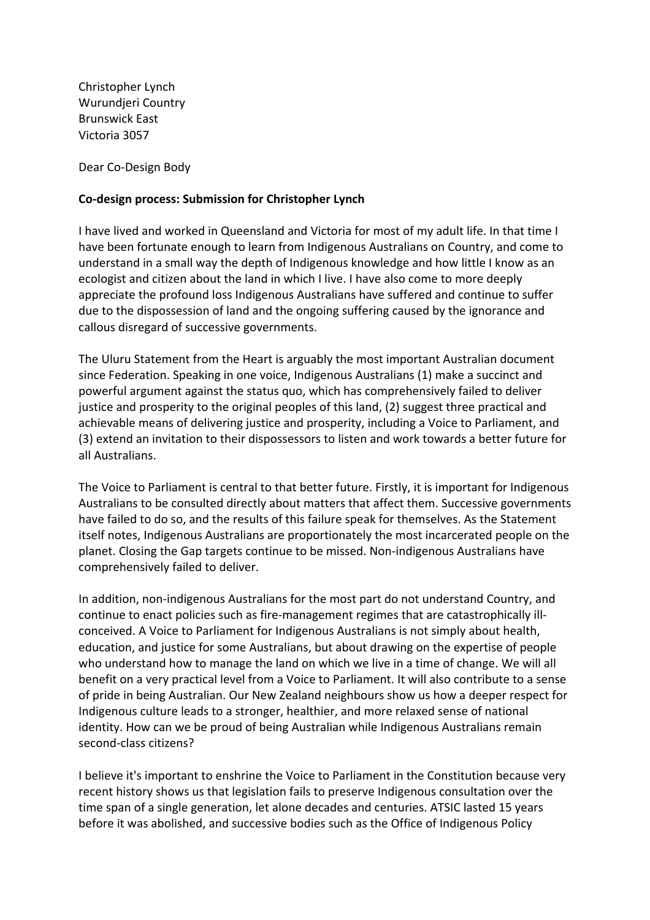Christopher Lynch Wurundjeri Country Brunswick East Victoria 3057

Dear Co-Design Body

## **Co-design process: Submission for Christopher Lynch**

 I have lived and worked in Queensland and Victoria for most of my adult life. In that time I have been fortunate enough to learn from Indigenous Australians on Country, and come to understand in a small way the depth of Indigenous knowledge and how little I know as an ecologist and citizen about the land in which I live. I have also come to more deeply appreciate the profound loss Indigenous Australians have suffered and continue to suffer due to the dispossession of land and the ongoing suffering caused by the ignorance and callous disregard of successive governments.

 The Uluru Statement from the Heart is arguably the most important Australian document since Federation. Speaking in one voice, Indigenous Australians (1) make a succinct and powerful argument against the status quo, which has comprehensively failed to deliver justice and prosperity to the original peoples of this land, (2) suggest three practical and achievable means of delivering justice and prosperity, including a Voice to Parliament, and (3) extend an invitation to their dispossessors to listen and work towards a better future for all Australians.

 The Voice to Parliament is central to that better future. Firstly, it is important for Indigenous Australians to be consulted directly about matters that affect them. Successive governments have failed to do so, and the results of this failure speak for themselves. As the Statement itself notes, Indigenous Australians are proportionately the most incarcerated people on the planet. Closing the Gap targets continue to be missed. Non-indigenous Australians have comprehensively failed to deliver.

 In addition, non-indigenous Australians for the most part do not understand Country, and continue to enact policies such as fire-management regimes that are catastrophically ill- conceived. A Voice to Parliament for Indigenous Australians is not simply about health, education, and justice for some Australians, but about drawing on the expertise of people who understand how to manage the land on which we live in a time of change. We will all benefit on a very practical level from a Voice to Parliament. It will also contribute to a sense of pride in being Australian. Our New Zealand neighbours show us how a deeper respect for Indigenous culture leads to a stronger, healthier, and more relaxed sense of national identity. How can we be proud of being Australian while Indigenous Australians remain second-class citizens?

 I believe it's important to enshrine the Voice to Parliament in the Constitution because very recent history shows us that legislation fails to preserve Indigenous consultation over the time span of a single generation, let alone decades and centuries. ATSIC lasted 15 years before it was abolished, and successive bodies such as the Office of Indigenous Policy